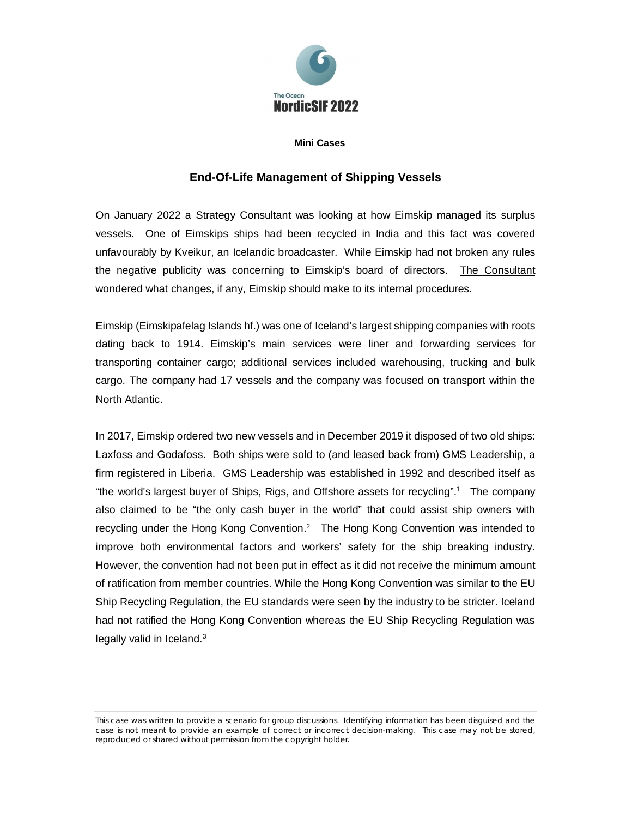

## **Mini Cases**

## **End-Of-Life Management of Shipping Vessels**

On January 2022 a Strategy Consultant was looking at how Eimskip managed its surplus vessels. One of Eimskips ships had been recycled in India and this fact was covered unfavourably by Kveikur, an Icelandic broadcaster. While Eimskip had not broken any rules the negative publicity was concerning to Eimskip's board of directors. The Consultant wondered what changes, if any, Eimskip should make to its internal procedures.

Eimskip (Eimskipafelag Islands hf.) was one of Iceland's largest shipping companies with roots dating back to 1914. Eimskip's main services were liner and forwarding services for transporting container cargo; additional services included warehousing, trucking and bulk cargo. The company had 17 vessels and the company was focused on transport within the North Atlantic.

In 2017, Eimskip ordered two new vessels and in December 2019 it disposed of two old ships: Laxfoss and Godafoss. Both ships were sold to (and leased back from) GMS Leadership, a firm registered in Liberia. GMS Leadership was established in 1992 and described itself as "the world's largest buyer of Ships, Rigs, and Offshore assets for recycling".<sup>1</sup> The company also claimed to be "the only cash buyer in the world" that could assist ship owners with recycling under the Hong Kong Convention.<sup>2</sup> The Hong Kong Convention was intended to improve both environmental factors and workers' safety for the ship breaking industry. However, the convention had not been put in effect as it did not receive the minimum amount of ratification from member countries. While the Hong Kong Convention was similar to the EU Ship Recycling Regulation, the EU standards were seen by the industry to be stricter. Iceland had not ratified the Hong Kong Convention whereas the EU Ship Recycling Regulation was legally valid in Iceland.<sup>3</sup>

This case was written to provide a scenario for group discussions. Identifying information has been disguised and the case is not meant to provide an example of correct or incorrect decision-making. This case may not be stored, reproduced or shared without permission from the copyright holder.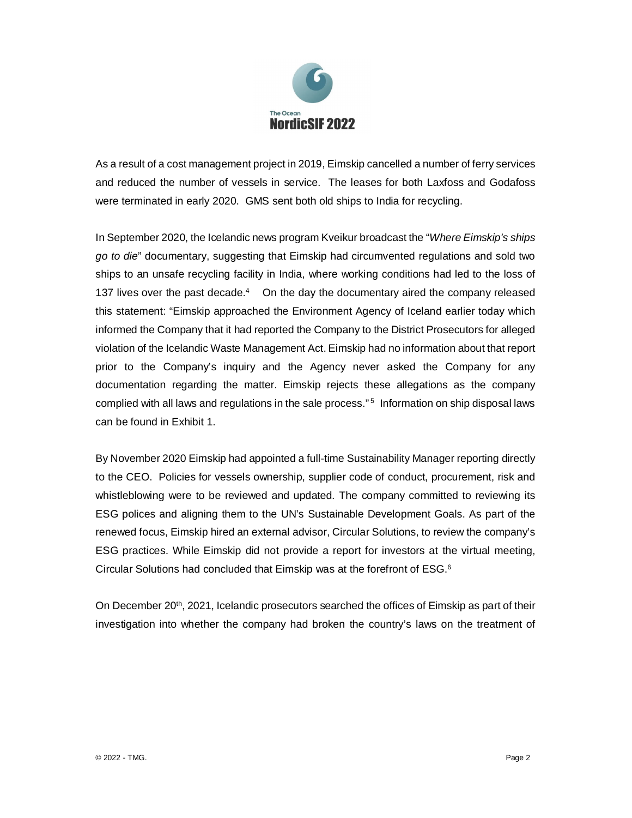

As a result of a cost management project in 2019, Eimskip cancelled a number of ferry services and reduced the number of vessels in service. The leases for both Laxfoss and Godafoss were terminated in early 2020. GMS sent both old ships to India for recycling.

In September 2020, the Icelandic news program Kveikur broadcast the "*Where Eimskip's ships go to die*" documentary, suggesting that Eimskip had circumvented regulations and sold two ships to an unsafe recycling facility in India, where working conditions had led to the loss of 137 lives over the past decade.<sup>4</sup> On the day the documentary aired the company released this statement: "Eimskip approached the Environment Agency of Iceland earlier today which informed the Company that it had reported the Company to the District Prosecutors for alleged violation of the Icelandic Waste Management Act. Eimskip had no information about that report prior to the Company's inquiry and the Agency never asked the Company for any documentation regarding the matter. Eimskip rejects these allegations as the company complied with all laws and regulations in the sale process."<sup>5</sup> Information on ship disposal laws can be found in Exhibit 1.

By November 2020 Eimskip had appointed a full-time Sustainability Manager reporting directly to the CEO. Policies for vessels ownership, supplier code of conduct, procurement, risk and whistleblowing were to be reviewed and updated. The company committed to reviewing its ESG polices and aligning them to the UN's Sustainable Development Goals. As part of the renewed focus, Eimskip hired an external advisor, Circular Solutions, to review the company's ESG practices. While Eimskip did not provide a report for investors at the virtual meeting, Circular Solutions had concluded that Eimskip was at the forefront of ESG.<sup>6</sup>

On December 20<sup>th</sup>, 2021, Icelandic prosecutors searched the offices of Eimskip as part of their investigation into whether the company had broken the country's laws on the treatment of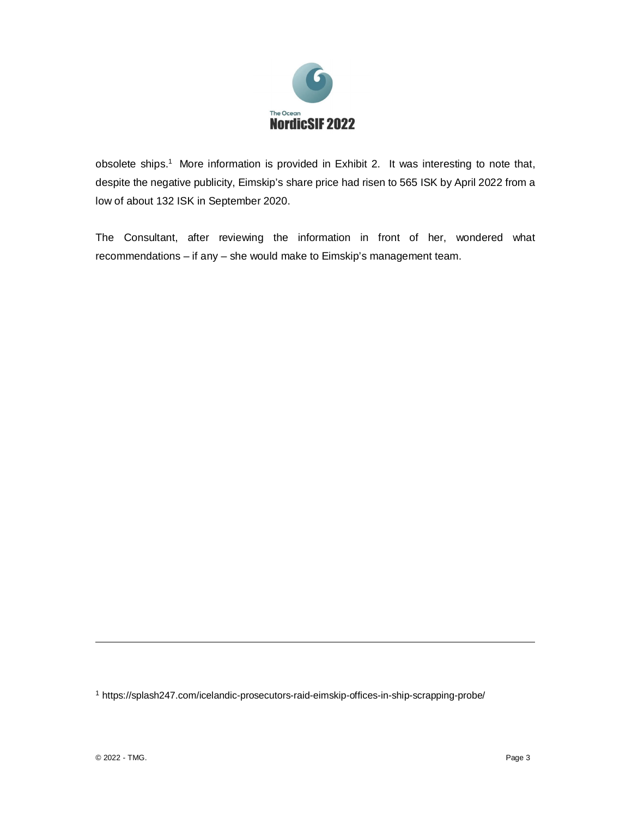

obsolete ships.<sup>1</sup> More information is provided in Exhibit 2. It was interesting to note that, despite the negative publicity, Eimskip's share price had risen to 565 ISK by April 2022 from a low of about 132 ISK in September 2020.

The Consultant, after reviewing the information in front of her, wondered what recommendations – if any – she would make to Eimskip's management team.

1 https://splash247.com/icelandic-prosecutors-raid-eimskip-offices-in-ship-scrapping-probe/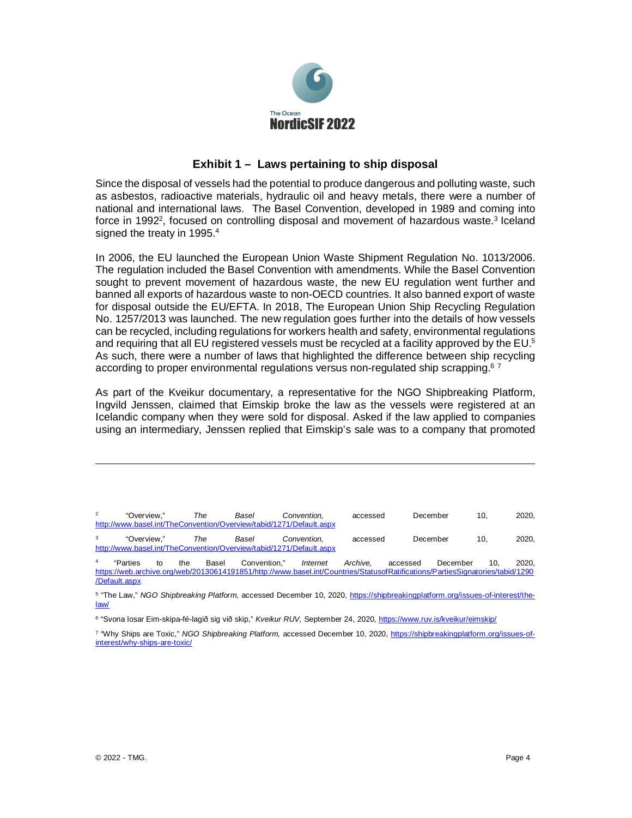

## **Exhibit 1 – Laws pertaining to ship disposal**

Since the disposal of vessels had the potential to produce dangerous and polluting waste, such as asbestos, radioactive materials, hydraulic oil and heavy metals, there were a number of national and international laws. The Basel Convention, developed in 1989 and coming into force in 1992<sup>2</sup>, focused on controlling disposal and movement of hazardous waste.<sup>3</sup> Iceland signed the treaty in 1995.<sup>4</sup>

In 2006, the EU launched the European Union Waste Shipment Regulation No. 1013/2006. The regulation included the Basel Convention with amendments. While the Basel Convention sought to prevent movement of hazardous waste, the new EU regulation went further and banned all exports of hazardous waste to non-OECD countries. It also banned export of waste for disposal outside the EU/EFTA. In 2018, The European Union Ship Recycling Regulation No. 1257/2013 was launched. The new regulation goes further into the details of how vessels can be recycled, including regulations for workers health and safety, environmental regulations and requiring that all EU registered vessels must be recycled at a facility approved by the EU.<sup>5</sup> As such, there were a number of laws that highlighted the difference between ship recycling according to proper environmental regulations versus non-regulated ship scrapping.<sup>6</sup> <sup>7</sup>

As part of the Kveikur documentary, a representative for the NGO Shipbreaking Platform, Ingvild Jenssen, claimed that Eimskip broke the law as the vessels were registered at an Icelandic company when they were sold for disposal. Asked if the law applied to companies using an intermediary, Jenssen replied that Eimskip's sale was to a company that promoted

| $\overline{2}$                                                      | "Overview." | The | Basel | Convention. | accessed | December | 10. | 2020. |
|---------------------------------------------------------------------|-------------|-----|-------|-------------|----------|----------|-----|-------|
| http://www.basel.int/TheConvention/Overview/tabid/1271/Default.aspx |             |     |       |             |          |          |     |       |
| 3                                                                   | "Overview." | The | Basel | Convention. | accessed | December | 10. | 2020. |
| http://www.basel.int/TheConvention/Overview/tabid/1271/Default.aspx |             |     |       |             |          |          |     |       |

4 "Parties to the Basel Convention," *Internet Archive,* accessed December 10, 2020, https://web.archive.org/web/20130614191851/http://www.basel.int/Countries/StatusofRatifications/PartiesSignatories/tabid/1290 /Default.aspx

5 "The Law," *NGO Shipbreaking Platform,* accessed December 10, 2020, https://shipbreakingplatform.org/issues-of-interest/thelaw/

<sup>6</sup> "Svona losar Eim-skipa-fé-lagið sig við skip," *Kveikur RUV,* September 24, 2020, <u>https://www.ruv.is/kveikur/eimskip/</u>

7 "Why Ships are Toxic," *NGO Shipbreaking Platform,* accessed December 10, 2020, https://shipbreakingplatform.org/issues-ofinterest/why-ships-are-toxic/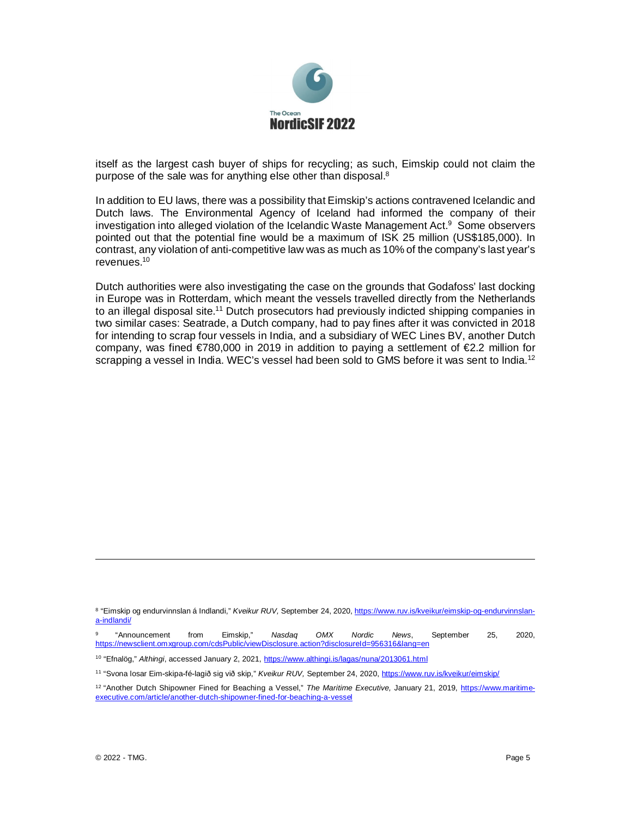

itself as the largest cash buyer of ships for recycling; as such, Eimskip could not claim the purpose of the sale was for anything else other than disposal.<sup>8</sup>

In addition to EU laws, there was a possibility that Eimskip's actions contravened Icelandic and Dutch laws. The Environmental Agency of Iceland had informed the company of their investigation into alleged violation of the Icelandic Waste Management Act. $9$  Some observers pointed out that the potential fine would be a maximum of ISK 25 million (US\$185,000). In contrast, any violation of anti-competitive law was as much as 10% of the company's last year's revenues.<sup>10</sup>

Dutch authorities were also investigating the case on the grounds that Godafoss' last docking in Europe was in Rotterdam, which meant the vessels travelled directly from the Netherlands to an illegal disposal site.<sup>11</sup> Dutch prosecutors had previously indicted shipping companies in two similar cases: Seatrade, a Dutch company, had to pay fines after it was convicted in 2018 for intending to scrap four vessels in India, and a subsidiary of WEC Lines BV, another Dutch company, was fined  $\epsilon$ 780,000 in 2019 in addition to paying a settlement of  $\epsilon$ 2.2 million for scrapping a vessel in India. WEC's vessel had been sold to GMS before it was sent to India.<sup>12</sup>

<sup>&</sup>lt;sup>8</sup> "Eimskip og endurvinnslan á Indlandi," *Kveikur RUV,* September 24, 2020, <u>https://www.ruv.is/kveikur/eimskip-og-endurvinnslan-</u> a-indlandi/

<sup>9</sup> "Announcement from Eimskip," *Nasdaq OMX Nordic News*, September 25, 2020, https://newsclient.omxgroup.com/cdsPublic/viewDisclosure.action?disclosureId=956316&lang=en

<sup>10</sup> "Efnalög," *Althingi*, accessed January 2, 2021, https://www.althingi.is/lagas/nuna/2013061.html

<sup>11</sup> "Svona losar Eim-skipa-fé-lagið sig við skip," *Kveikur RUV,* September 24, 2020, https://www.ruv.is/kveikur/eimskip/

<sup>&</sup>lt;sup>12</sup> "Another Dutch Shipowner Fined for Beaching a Vessel," The Maritime Executive, January 21, 2019, https://www.maritimeexecutive.com/article/another-dutch-shipowner-fined-for-beaching-a-vessel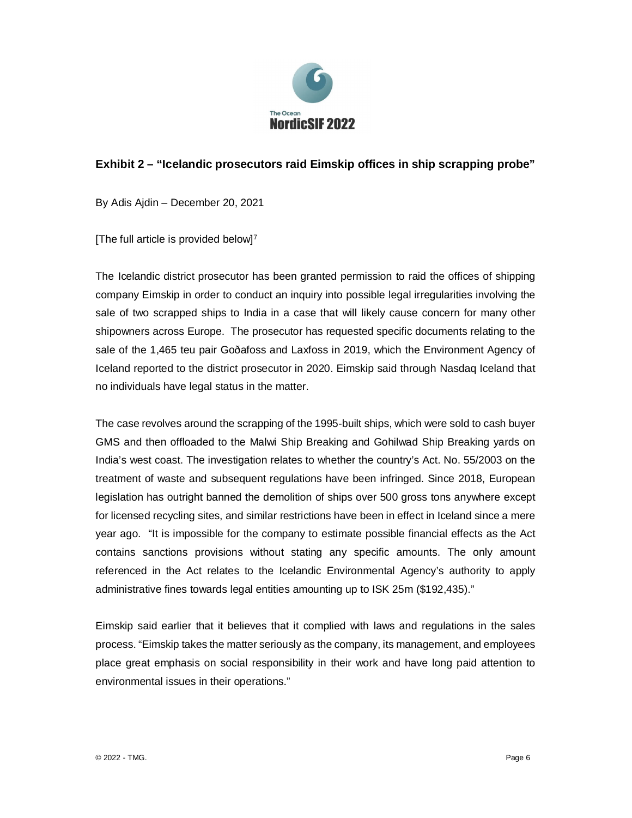

## **Exhibit 2 – "Icelandic prosecutors raid Eimskip offices in ship scrapping probe"**

By Adis Ajdin – December 20, 2021

[The full article is provided below] $<sup>7</sup>$ </sup>

The Icelandic district prosecutor has been granted permission to raid the offices of shipping company Eimskip in order to conduct an inquiry into possible legal irregularities involving the sale of two scrapped ships to India in a case that will likely cause concern for many other shipowners across Europe. The prosecutor has requested specific documents relating to the sale of the 1,465 teu pair Goðafoss and Laxfoss in 2019, which the Environment Agency of Iceland reported to the district prosecutor in 2020. Eimskip said through Nasdaq Iceland that no individuals have legal status in the matter.

The case revolves around the scrapping of the 1995-built ships, which were sold to cash buyer GMS and then offloaded to the Malwi Ship Breaking and Gohilwad Ship Breaking yards on India's west coast. The investigation relates to whether the country's Act. No. 55/2003 on the treatment of waste and subsequent regulations have been infringed. Since 2018, European legislation has outright banned the demolition of ships over 500 gross tons anywhere except for licensed recycling sites, and similar restrictions have been in effect in Iceland since a mere year ago. "It is impossible for the company to estimate possible financial effects as the Act contains sanctions provisions without stating any specific amounts. The only amount referenced in the Act relates to the Icelandic Environmental Agency's authority to apply administrative fines towards legal entities amounting up to ISK 25m (\$192,435)."

Eimskip said earlier that it believes that it complied with laws and regulations in the sales process. "Eimskip takes the matter seriously as the company, its management, and employees place great emphasis on social responsibility in their work and have long paid attention to environmental issues in their operations."